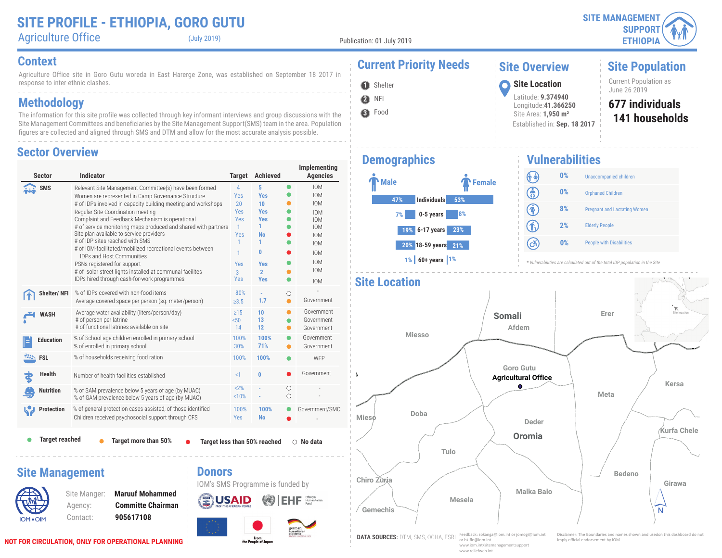#### **SITE PROFILE - ETHIOPIA, GORO GUTU** Agriculture Office (July 2019)

Agriculture Office site in Goro Gutu woreda in East Harerge Zone, was established on September 18 2017 in response to inter-ethnic clashes.

### **Methodology**

The information for this site profile was collected through key informant interviews and group discussions with the Site Management Committees and beneficiaries by the Site Management Support(SMS) team in the area. Population figures are collected and aligned through SMS and DTM and allow for the most accurate analysis possible.

#### **Sector Overview**

| <b>Sector</b>          | <b>Indicator</b>                                                                                                                                                                                                                                                                                                                                                                                                                                                                                                                                                                                                                                                   | <b>Target</b>                                                                                                      | <b>Achieved</b>                                                                                                              |           | Implementing<br><b>Agencies</b>                                                                                                                                      |
|------------------------|--------------------------------------------------------------------------------------------------------------------------------------------------------------------------------------------------------------------------------------------------------------------------------------------------------------------------------------------------------------------------------------------------------------------------------------------------------------------------------------------------------------------------------------------------------------------------------------------------------------------------------------------------------------------|--------------------------------------------------------------------------------------------------------------------|------------------------------------------------------------------------------------------------------------------------------|-----------|----------------------------------------------------------------------------------------------------------------------------------------------------------------------|
| SMS                    | Relevant Site Management Committee(s) have been formed<br>Women are represented in Camp Governance Structure<br># of IDPs involved in capacity building meeting and workshops<br>Regular Site Coordination meeting<br>Complaint and Feedback Mechanism is operational<br># of service monitoring maps produced and shared with partners<br>Site plan available to service providers<br># of IDP sites reached with SMS<br># of IOM-facilitated/mobilized recreational events between<br><b>IDPs and Host Communities</b><br>PSNs registered for support<br># of solar street lights installed at communal facilites<br>IDPs hired through cash-for-work programmes | $\overline{4}$<br>Yes<br>20<br><b>Yes</b><br><b>Yes</b><br>$\mathbf{1}$<br>Yes<br>1<br>1<br>Yes<br>3<br><b>Yes</b> | 5<br><b>Yes</b><br>10<br><b>Yes</b><br><b>Yes</b><br>1.<br><b>No</b><br>1<br>0<br><b>Yes</b><br>$\overline{2}$<br><b>Yes</b> | $\bullet$ | <b>IOM</b><br><b>IOM</b><br><b>IOM</b><br><b>IOM</b><br><b>IOM</b><br><b>IOM</b><br><b>IOM</b><br><b>IOM</b><br><b>IOM</b><br><b>IOM</b><br><b>IOM</b><br><b>IOM</b> |
| <b>Shelter/NFI</b>     | % of IDPs covered with non-food items<br>Average covered space per person (sq. meter/person)                                                                                                                                                                                                                                                                                                                                                                                                                                                                                                                                                                       | 80%<br>$\geq 3.5$                                                                                                  | 1.7                                                                                                                          | О<br>●    | Government                                                                                                                                                           |
| <b>WASH</b>            | Average water availability (liters/person/day)<br># of person per latrine<br># of functional latrines available on site                                                                                                                                                                                                                                                                                                                                                                                                                                                                                                                                            | $\geq$ 15<br>50 <sub>0</sub><br>14                                                                                 | 10<br>13<br>12                                                                                                               | o         | Government<br>Government<br>Government                                                                                                                               |
| <b>Education</b>       | % of School age children enrolled in primary school<br>% of enrolled in primary school                                                                                                                                                                                                                                                                                                                                                                                                                                                                                                                                                                             | 100%<br>30%                                                                                                        | 100%<br>71%                                                                                                                  |           | Government<br>Government                                                                                                                                             |
| <b>EXALL</b> FSL       | % of households receiving food ration                                                                                                                                                                                                                                                                                                                                                                                                                                                                                                                                                                                                                              | 100%                                                                                                               | 100%                                                                                                                         |           | WFP                                                                                                                                                                  |
| <b>Health</b>          | Number of health facilities established                                                                                                                                                                                                                                                                                                                                                                                                                                                                                                                                                                                                                            | <1                                                                                                                 | 0                                                                                                                            |           | Government                                                                                                                                                           |
| <b>Nutrition</b>       | % of SAM prevalence below 5 years of age (by MUAC)<br>% of GAM prevalence below 5 years of age (by MUAC)                                                                                                                                                                                                                                                                                                                                                                                                                                                                                                                                                           | 2%<br>10%                                                                                                          |                                                                                                                              | Ο<br>Ο    |                                                                                                                                                                      |
| <b>Protection</b>      | % of general protection cases assisted, of those identified<br>Children received psychosocial support through CFS                                                                                                                                                                                                                                                                                                                                                                                                                                                                                                                                                  | 100%<br>Yes                                                                                                        | 100%<br><b>No</b>                                                                                                            |           | Government/SMC                                                                                                                                                       |
| <b>Target reached</b>  | Target more than 50%                                                                                                                                                                                                                                                                                                                                                                                                                                                                                                                                                                                                                                               |                                                                                                                    | Target less than 50% reached                                                                                                 |           | $\circ$ No data                                                                                                                                                      |
| <b>Site Management</b> | <b>Donors</b><br><b>Maruuf Mohammed</b><br>Site Manger:<br><b>Committe Chairman</b><br>Agency:                                                                                                                                                                                                                                                                                                                                                                                                                                                                                                                                                                     | FROM THE AMERICAN PEOPLE                                                                                           | IOM's SMS Programme is funded by                                                                                             |           |                                                                                                                                                                      |

From<br>the People of Japan

# **Context Current Priority Needs**

### **Site Overview**

Latitude: **9.374940** Longitude:**41.366250** Site Area: **1,950 m²**

Established in: **Sep. 18 2017**

# **Site Population**

Current Population as<br>June 26 2019 **1** Shelter **1999** Site Location **1999** Site Location **1999** June 26 2019

#### **141 households 677 individuals**

#### **Demographics**

**2** NFI **O** Shelter

**3** Food

Publication: 01 July 2019



#### **Vulnerabilities** (î î) **0%** Unaccompanied children ඹ **0%** Orphaned Children  $\circledast$ **8%** Pregnant and Lactating Women  $\textcircled{\textbf{f}}$ **2%** Elderly People  $\left( c\right)$ **0%** People with Disabilities

*\* Vulnerabilities are calculated out of the total IDP population in the Site*



IOM OIM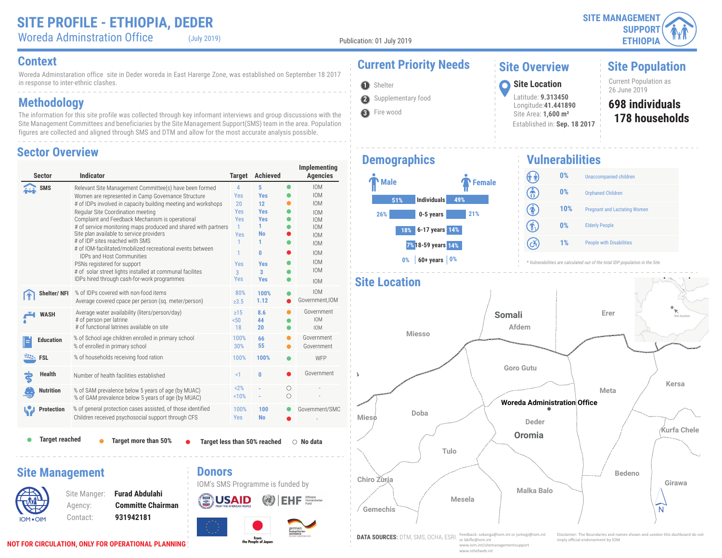Woreda Adminstration Office (July 2019)

Publication: 01 July 2019

**O** Shelter

**3** Fire wood

Woreda Adminstaration office site in Deder woreda in East Harerge Zone, was established on September 18 2017 in response to inter-ethnic clashes.

### **Methodology**

The information for this site profile was collected through key informant interviews and group discussions with the Site Management Committees and beneficiaries by the Site Management Support(SMS) team in the area. Population figures are collected and aligned through SMS and DTM and allow for the most accurate analysis possible.

#### **Sector Overview**

| <b>Sector</b>          | <b>Indicator</b>                                                                                                                                                                                                                                                                                                                                                                                                                                                                                                                                                                                                                                                   | <b>Target</b>                                                                                      | <b>Achieved</b>                                                                                                             |                 | Implementing<br><b>Agencies</b>                                                                                                                                      |  |
|------------------------|--------------------------------------------------------------------------------------------------------------------------------------------------------------------------------------------------------------------------------------------------------------------------------------------------------------------------------------------------------------------------------------------------------------------------------------------------------------------------------------------------------------------------------------------------------------------------------------------------------------------------------------------------------------------|----------------------------------------------------------------------------------------------------|-----------------------------------------------------------------------------------------------------------------------------|-----------------|----------------------------------------------------------------------------------------------------------------------------------------------------------------------|--|
| <b>SMS</b>             | Relevant Site Management Committee(s) have been formed<br>Women are represented in Camp Governance Structure<br># of IDPs involved in capacity building meeting and workshops<br>Regular Site Coordination meeting<br>Complaint and Feedback Mechanism is operational<br># of service monitoring maps produced and shared with partners<br>Site plan available to service providers<br># of IDP sites reached with SMS<br># of IOM-facilitated/mobilized recreational events between<br><b>IDPs and Host Communities</b><br>PSNs registered for support<br># of solar street lights installed at communal facilites<br>IDPs hired through cash-for-work programmes | 4<br>Yes<br>20<br>Yes<br>Yes<br>$\mathbf{1}$<br>Yes<br>$\mathbf{1}$<br>1<br>Yes<br>3<br><b>Yes</b> | 5<br><b>Yes</b><br>12<br><b>Yes</b><br><b>Yes</b><br>1<br><b>No</b><br>1<br>0<br><b>Yes</b><br>$\overline{3}$<br><b>Yes</b> | $\bullet$       | <b>IOM</b><br><b>IOM</b><br><b>IOM</b><br><b>IOM</b><br><b>IOM</b><br><b>IOM</b><br><b>IOM</b><br><b>IOM</b><br><b>IOM</b><br><b>IOM</b><br><b>IOM</b><br><b>IOM</b> |  |
| <b>Shelter/NFI</b>     | % of IDPs covered with non-food items<br>Average covered cpace per person (sq. meter/person)                                                                                                                                                                                                                                                                                                                                                                                                                                                                                                                                                                       | 80%<br>$\ge 3.5$                                                                                   | 100%<br>1.12                                                                                                                |                 | <b>IOM</b><br>Government, IOM                                                                                                                                        |  |
| <b>WASH</b>            | Average water availability (liters/person/day)<br># of person per latrine<br># of functional latrines available on site                                                                                                                                                                                                                                                                                                                                                                                                                                                                                                                                            | $\geq$ 15<br>50 <sub>0</sub><br>18                                                                 | 8.6<br>44<br>20                                                                                                             |                 | Government<br><b>IOM</b><br><b>IOM</b>                                                                                                                               |  |
| <b>Education</b>       | % of School age children enrolled in primary school<br>% of enrolled in primary school                                                                                                                                                                                                                                                                                                                                                                                                                                                                                                                                                                             | 100%<br>30%                                                                                        | 66<br>55                                                                                                                    |                 | Government<br>Government                                                                                                                                             |  |
| <b>FSL</b>             | % of households receiving food ration                                                                                                                                                                                                                                                                                                                                                                                                                                                                                                                                                                                                                              | 100%                                                                                               | 100%                                                                                                                        |                 | WFP                                                                                                                                                                  |  |
| <b>Health</b>          | $\leq$ 1<br>$\bf{0}$<br>Number of health facilities established                                                                                                                                                                                                                                                                                                                                                                                                                                                                                                                                                                                                    |                                                                                                    |                                                                                                                             |                 |                                                                                                                                                                      |  |
| <b>Nutrition</b>       | % of SAM prevalence below 5 years of age (by MUAC)<br>% of GAM prevalence below 5 years of age (by MUAC)                                                                                                                                                                                                                                                                                                                                                                                                                                                                                                                                                           | 2%<br>10%                                                                                          |                                                                                                                             | Ω<br>$\bigcirc$ |                                                                                                                                                                      |  |
| <b>Protection</b>      | % of general protection cases assisted, of those identified<br>Children received psychosocial support through CFS                                                                                                                                                                                                                                                                                                                                                                                                                                                                                                                                                  | 100%<br><b>Yes</b>                                                                                 | 100<br><b>No</b>                                                                                                            |                 | Government/SMC                                                                                                                                                       |  |
| <b>Target reached</b>  | <b>Target more than 50%</b>                                                                                                                                                                                                                                                                                                                                                                                                                                                                                                                                                                                                                                        |                                                                                                    | Target less than 50% reached                                                                                                |                 | $\circ$ No data                                                                                                                                                      |  |
| <b>Site Management</b> | <b>Donors</b><br><b>Furad Abdulahi</b><br>Site Manger:<br><b>Committe Chairman</b><br>Agency:<br>931942181<br>Contact:                                                                                                                                                                                                                                                                                                                                                                                                                                                                                                                                             |                                                                                                    | IOM's SMS Programme is funded by                                                                                            |                 | Humanitarian                                                                                                                                                         |  |

From<br>the People of Japan

# **Context Current Priority Needs**

### **Site Overview**

Latitude: **9.313450** Longitude:**41.441890** Site Area: **1,600 m²**

Established in: **Sep. 18 2017**

**Site Population**

Current Population as<br>26 June 2019 **1** Shelter **1998** Site Location **1998** Site Location **1998** Site Location **1998** 26 June 2019

#### **178 households 698 individuals**

### **Demographics**

**2** Supplementary food



**Vulnerabilities** (î î) **0%** Unaccompanied children ඹ **0%** Orphaned Children  $\circledast$ **10%** Pregnant and Lactating Women 介 **0%** Elderly People  $\left( c\right)$ **1%** People with Disabilities





www.reliefweb.int

IOM OIM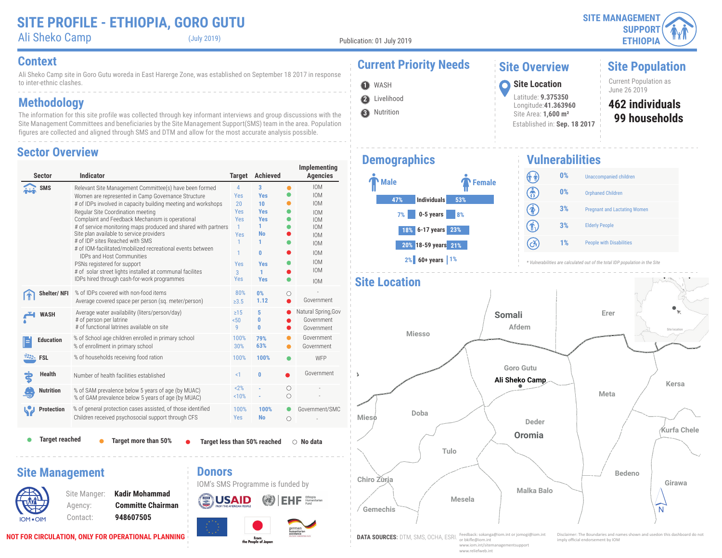**Site Population**

Current Population as<br>June 26 2019

**99 households 462 individuals**

## **Context Current Priority Needs**

Ali Sheko Camp (July 2019)

Publication: 01 July 2019

**2** Livelihood **O** WASH

Ali Sheko Camp site in Goro Gutu woreda in East Harerge Zone, was established on September 18 2017 in response to inter-ethnic clashes.

### **Methodology**

The information for this site profile was collected through key informant interviews and group discussions with the Site Management Committees and beneficiaries by the Site Management Support(SMS) team in the area. Population figures are collected and aligned through SMS and DTM and allow for the most accurate analysis possible.

#### **Sector Overview**

| <b>Sector</b>                                   | <b>Indicator</b>                                                                                                                                                                                                                                                                                                                                                                                                                                                                                                                                                                                                                                                    | <b>Target</b>                                                                                        | <b>Achieved</b>                                                                                                    |           | Implementing<br><b>Agencies</b>                                                                                                                                      |
|-------------------------------------------------|---------------------------------------------------------------------------------------------------------------------------------------------------------------------------------------------------------------------------------------------------------------------------------------------------------------------------------------------------------------------------------------------------------------------------------------------------------------------------------------------------------------------------------------------------------------------------------------------------------------------------------------------------------------------|------------------------------------------------------------------------------------------------------|--------------------------------------------------------------------------------------------------------------------|-----------|----------------------------------------------------------------------------------------------------------------------------------------------------------------------|
| <b>SMS</b>                                      | Relevant Site Management Committee(s) have been formed<br>Women are represented in Camp Governance Structure<br># of IDPs involved in capacity building meeting and workshops<br>Regular Site Coordination meeting<br>Complaint and Feedback Mechanism is operational<br># of service monitoring maps produced and shared with partners<br>Site plan available to service providers<br># of IDP sites Reached with SMS<br># of IOM-facilitated/mobilized recreational events between<br><b>IDPs and Host Communities</b><br>PSNs registered for support<br># of solar street lights installed at communal facilities<br>IDPs hired through cash-for-work programmes | $\overline{4}$<br>Yes<br>20<br><b>Yes</b><br>Yes<br>$\mathbf{1}$<br>Yes<br>1<br>1<br>Yes<br>3<br>Yes | 3<br><b>Yes</b><br>10<br><b>Yes</b><br><b>Yes</b><br>1<br>No<br>1<br>$\mathbf{0}$<br><b>Yes</b><br>1<br><b>Yes</b> | $\bullet$ | <b>IOM</b><br><b>IOM</b><br><b>IOM</b><br><b>IOM</b><br><b>IOM</b><br><b>IOM</b><br><b>IOM</b><br><b>IOM</b><br><b>IOM</b><br><b>IOM</b><br><b>IOM</b><br><b>IOM</b> |
| Shelter/NFI                                     | % of IDPs covered with non-food items<br>Average covered space per person (sq. meter/person)                                                                                                                                                                                                                                                                                                                                                                                                                                                                                                                                                                        | 80%<br>$\geq 3.5$                                                                                    | 0%<br>1.12                                                                                                         | О         | Government                                                                                                                                                           |
| <b>WASH</b>                                     | Average water availability (liters/person/day)<br># of person per latrine<br># of functional latrines available on site                                                                                                                                                                                                                                                                                                                                                                                                                                                                                                                                             | $\geq$ 15<br>50 <sub>50</sub><br>9                                                                   | 5<br>0<br>Ō                                                                                                        |           | Natural Spring, Gov<br>Government<br>Government                                                                                                                      |
| <b>Education</b>                                | % of School age children enrolled in primary school<br>% of enrollment in primary school                                                                                                                                                                                                                                                                                                                                                                                                                                                                                                                                                                            | 100%<br>30%                                                                                          | 79%<br>63%                                                                                                         |           | Government<br>Government                                                                                                                                             |
| <b>EXAMPLE</b> FSL                              | % of households receiving food ration                                                                                                                                                                                                                                                                                                                                                                                                                                                                                                                                                                                                                               | 100%                                                                                                 | 100%                                                                                                               |           | WFP                                                                                                                                                                  |
| <b>Health</b>                                   | Number of health facilities established                                                                                                                                                                                                                                                                                                                                                                                                                                                                                                                                                                                                                             | <1                                                                                                   | 0                                                                                                                  |           | Government                                                                                                                                                           |
| <b>Nutrition</b>                                | % of SAM prevalence below 5 years of age (by MUAC)<br>% of GAM prevalence below 5 years of age (by MUAC)                                                                                                                                                                                                                                                                                                                                                                                                                                                                                                                                                            | 2%<br>10%                                                                                            |                                                                                                                    | О<br>Ο    |                                                                                                                                                                      |
| <b>Protection</b>                               | % of general protection cases assisted, of those identified<br>Children received psychosocial support through CFS                                                                                                                                                                                                                                                                                                                                                                                                                                                                                                                                                   | 100%<br>Yes                                                                                          | 100%<br><b>No</b>                                                                                                  | O         | Government/SMC                                                                                                                                                       |
| <b>Target reached</b><br><b>Site Management</b> | Target more than 50%<br><b>Donors</b>                                                                                                                                                                                                                                                                                                                                                                                                                                                                                                                                                                                                                               |                                                                                                      | Target less than 50% reached                                                                                       |           | $\bigcirc$ No data                                                                                                                                                   |
|                                                 | <b>Kadir Mohammad</b><br>Site Manger:<br><b>Committe Chairman</b><br>Agency:                                                                                                                                                                                                                                                                                                                                                                                                                                                                                                                                                                                        |                                                                                                      | IOM's SMS Programme is funded by                                                                                   |           | Ethlopia<br>Humanitarian                                                                                                                                             |

# **3** Nutrition

#### **Demographics**



Established in: **Sep. 18 2017**

June 26 2019 **<sup>1</sup> Site Location**

**Site Overview**

Latitude: **9.375350** Longitude:**41.363960** Site Area: **1,600 m²**

#### **Vulnerabilities**



*\* Vulnerabilities are calculated out of the total IDP population in the Site*



IOM OIM

WX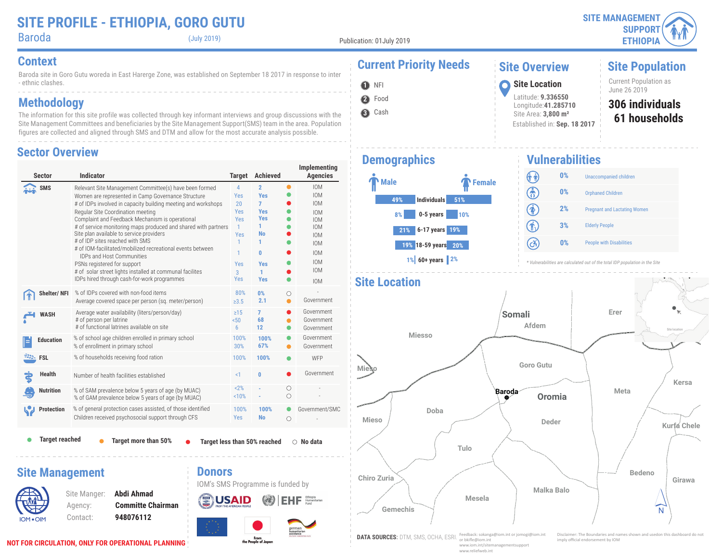**Site Population**

Baroda (July 2019)

Publication: 01July 2019

Baroda site in Goro Gutu woreda in East Harerge Zone, was established on September 18 2017 in response to inter - ethnic clashes.

### **Methodology**

The information for this site profile was collected through key informant interviews and group discussions with the Site Management Committees and beneficiaries by the Site Management Support(SMS) team in the area. Population figures are collected and aligned through SMS and DTM and allow for the most accurate analysis possible.

#### **Sector Overview**

| Sector                | Indicator                                                                                                                                                                                                                                                                                                                                                                                                                                                                                                                                                                                                                                                          | <b>Target</b>                                                                             | <b>Achieved</b>                                                                                                                   |                | Implementing<br><b>Agencies</b>                                                                                                                                      |
|-----------------------|--------------------------------------------------------------------------------------------------------------------------------------------------------------------------------------------------------------------------------------------------------------------------------------------------------------------------------------------------------------------------------------------------------------------------------------------------------------------------------------------------------------------------------------------------------------------------------------------------------------------------------------------------------------------|-------------------------------------------------------------------------------------------|-----------------------------------------------------------------------------------------------------------------------------------|----------------|----------------------------------------------------------------------------------------------------------------------------------------------------------------------|
| <b>SMS</b>            | Relevant Site Management Committee(s) have been formed<br>Women are represented in Camp Governance Structure<br># of IDPs involved in capacity building meeting and workshops<br>Regular Site Coordination meeting<br>Complaint and Feedback Mechanism is operational<br># of service monitoring maps produced and shared with partners<br>Site plan available to service providers<br># of IDP sites reached with SMS<br># of IOM-facilitated/mobilized recreational events between<br><b>IDPs and Host Communities</b><br>PSNs registered for support<br># of solar street lights installed at communal facilites<br>IDPs hired through cash-for-work programmes | $\overline{4}$<br>Yes<br>20<br>Yes<br>Yes<br>1<br>Yes<br>1<br>1<br>Yes<br>3<br><b>Yes</b> | $\overline{2}$<br><b>Yes</b><br>$\overline{7}$<br><b>Yes</b><br><b>Yes</b><br>1.<br>No<br>1<br>0<br><b>Yes</b><br>1<br><b>Yes</b> | $\bullet$      | <b>IOM</b><br><b>IOM</b><br><b>IOM</b><br><b>IOM</b><br><b>IOM</b><br><b>IOM</b><br><b>IOM</b><br><b>IOM</b><br><b>IOM</b><br><b>IOM</b><br><b>IOM</b><br><b>IOM</b> |
| Shelter/NFI           | % of IDPs covered with non-food items<br>Average covered space per person (sq. meter/person)                                                                                                                                                                                                                                                                                                                                                                                                                                                                                                                                                                       | 80%<br>$\ge 3.5$                                                                          | 0%<br>2.1                                                                                                                         | Ω<br>$\bullet$ | Government                                                                                                                                                           |
| <b>WASH</b>           | Average water availability (liters/person/day)<br># of person per latrine<br># of functional latrines available on site                                                                                                                                                                                                                                                                                                                                                                                                                                                                                                                                            | $\geq$ 15<br>50 <sub>50</sub><br>6                                                        | 7<br>68<br>12                                                                                                                     |                | Government<br>Government<br>Government                                                                                                                               |
| <b>Education</b>      | % of school age children enrolled in primary school<br>% of enrollment in primary school                                                                                                                                                                                                                                                                                                                                                                                                                                                                                                                                                                           | 100%<br>30%                                                                               | 100%<br>67%                                                                                                                       |                | Government<br>Government                                                                                                                                             |
| <b>EXAMPLE</b> FSL    | % of households receiving food ration                                                                                                                                                                                                                                                                                                                                                                                                                                                                                                                                                                                                                              | 100%                                                                                      | 100%                                                                                                                              |                | WFP                                                                                                                                                                  |
| Health                | Number of health facilities established                                                                                                                                                                                                                                                                                                                                                                                                                                                                                                                                                                                                                            | $\leq$ 1                                                                                  | 0                                                                                                                                 |                | Government                                                                                                                                                           |
| <b>Nutrition</b>      | % of SAM prevalence below 5 years of age (by MUAC)<br>% of GAM prevalence below 5 years of age (by MUAC)                                                                                                                                                                                                                                                                                                                                                                                                                                                                                                                                                           | 2%<br>10%                                                                                 |                                                                                                                                   | О<br>$\circ$   |                                                                                                                                                                      |
| <b>Protection</b>     | % of general protection cases assisted, of those identified<br>Children received psychosocial support through CFS                                                                                                                                                                                                                                                                                                                                                                                                                                                                                                                                                  | 100%<br><b>Yes</b>                                                                        | 100%<br><b>No</b>                                                                                                                 | $\circ$        | Government/SMC                                                                                                                                                       |
| <b>Target reached</b> | Target more than 50%                                                                                                                                                                                                                                                                                                                                                                                                                                                                                                                                                                                                                                               |                                                                                           | Target less than 50% reached                                                                                                      |                | $\circ$ No data                                                                                                                                                      |

#### **Site Management**



Site Manger: **Abdi Ahmad** Agency: **Committe Chairman** Contact: **948076112**

#### **Donors**





#### **Context Current Priority Needs** June 26 2019 **<sup>1</sup> Site Location O** NFI **Site Overview**



#### Latitude: **9.336550** Longitude:**41.285710** Site Area: **3,800 m²** Established in: **Sep. 18 2017**

#### **61 households 306 individuals** Current Population as<br>June 26 2019

#### **Demographics**



**Vulnerabilities** (î î) **0%** Unaccompanied children ඹ **0%** Orphaned Children  $\circledast$ **2%** Pregnant and Lactating Women G) **3%** Elderly People  $\left( c\right)$ **0%** People with Disabilities

*\* Vulnerabilities are calculated out of the total IDP population in the Site*



**NOT FOR CIRCULATION, ONLY FOR OPERATIONAL PLANNING**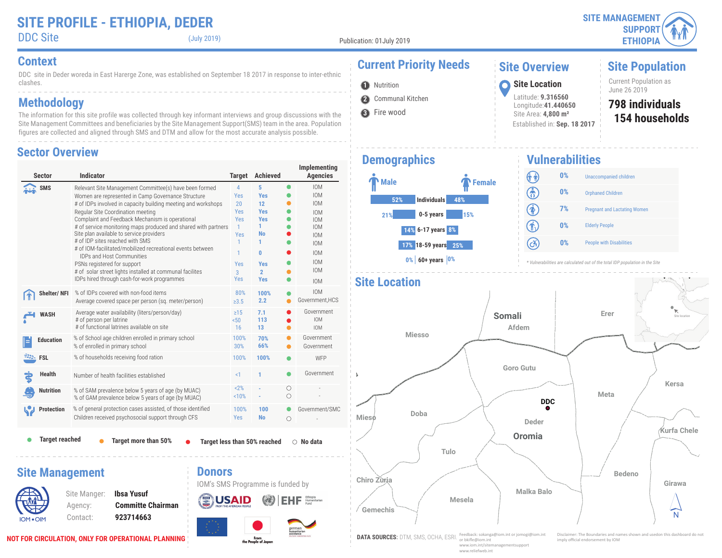

**O** Nutrition

**3** Fire wood

DDC site in Deder woreda in East Harerge Zone, was established on September 18 2017 in response to inter-ethnic clashes.

### **Methodology**

The information for this site profile was collected through key informant interviews and group discussions with the Site Management Committees and beneficiaries by the Site Management Support(SMS) team in the area. Population figures are collected and aligned through SMS and DTM and allow for the most accurate analysis possible.

#### **Sector Overview**

| <b>Sector</b>         | <b>Indicator</b>                                                                                                                                                                                                                                                                                                                                                                                                                                                                                                                                                                                                                                                   | <b>Target</b>                                                                               | <b>Achieved</b>                                                                                                |                 | Implementing<br><b>Agencies</b>                                                                                                                                      |
|-----------------------|--------------------------------------------------------------------------------------------------------------------------------------------------------------------------------------------------------------------------------------------------------------------------------------------------------------------------------------------------------------------------------------------------------------------------------------------------------------------------------------------------------------------------------------------------------------------------------------------------------------------------------------------------------------------|---------------------------------------------------------------------------------------------|----------------------------------------------------------------------------------------------------------------|-----------------|----------------------------------------------------------------------------------------------------------------------------------------------------------------------|
| <b>SMS</b>            | Relevant Site Management Committee(s) have been formed<br>Women are represented in Camp Governance Structure<br># of IDPs involved in capacity building meeting and workshops<br>Regular Site Coordination meeting<br>Complaint and Feedback Mechanism is operational<br># of service monitoring maps produced and shared with partners<br>Site plan available to service providers<br># of IDP sites reached with SMS<br># of IOM-facilitated/mobilized recreational events between<br><b>IDPs and Host Communities</b><br>PSNs registered for support<br># of solar street lights installed at communal facilites<br>IDPs hired through cash-for-work programmes | 4<br>Yes<br>20<br>Yes<br>Yes<br>$\mathbf{1}$<br>Yes<br>$\mathbf{1}$<br>1<br>Yes<br>3<br>Yes | 5<br><b>Yes</b><br>12<br><b>Yes</b><br><b>Yes</b><br>1.<br>No<br>1<br>0<br>Yes<br>$\overline{2}$<br><b>Yes</b> | $\bullet$       | <b>IOM</b><br><b>IOM</b><br><b>IOM</b><br><b>IOM</b><br><b>IOM</b><br><b>IOM</b><br><b>IOM</b><br><b>IOM</b><br><b>IOM</b><br><b>IOM</b><br><b>IOM</b><br><b>IOM</b> |
| Shelter/NFI           | % of IDPs covered with non-food items<br>Average covered space per person (sq. meter/person)                                                                                                                                                                                                                                                                                                                                                                                                                                                                                                                                                                       | 80%<br>$\geq 3.5$                                                                           | 100%<br>2.2                                                                                                    |                 | <b>IOM</b><br>Government, HCS                                                                                                                                        |
| <b>WASH</b>           | Average water availability (liters/person/day)<br># of person per latrine<br># of functional latrines available on site                                                                                                                                                                                                                                                                                                                                                                                                                                                                                                                                            | $\geq$ 15<br>50 <sub>0</sub><br>16                                                          | 7.1<br>113<br>13                                                                                               |                 | Government<br><b>IOM</b><br><b>IOM</b>                                                                                                                               |
| <b>Education</b>      | % of School age children enrolled in primary school<br>% of enrolled in primary school                                                                                                                                                                                                                                                                                                                                                                                                                                                                                                                                                                             | 100%<br>30%                                                                                 | 70%<br>66%                                                                                                     |                 | Government<br>Government                                                                                                                                             |
| <b>FSL</b>            | % of households receiving food ration                                                                                                                                                                                                                                                                                                                                                                                                                                                                                                                                                                                                                              | 100%                                                                                        | 100%                                                                                                           |                 | WFP                                                                                                                                                                  |
| <b>Health</b>         | Number of health facilities established                                                                                                                                                                                                                                                                                                                                                                                                                                                                                                                                                                                                                            | <1                                                                                          | 1                                                                                                              |                 | Government                                                                                                                                                           |
| <b>Nutrition</b>      | % of SAM prevalence below 5 years of age (by MUAC)<br>% of GAM prevalence below 5 years of age (by MUAC)                                                                                                                                                                                                                                                                                                                                                                                                                                                                                                                                                           | 2%<br>10%                                                                                   |                                                                                                                | О<br>$\bigcirc$ |                                                                                                                                                                      |
| <b>Protection</b>     | % of general protection cases assisted, of those identified<br>Children received psychosocial support through CFS                                                                                                                                                                                                                                                                                                                                                                                                                                                                                                                                                  | 100%<br><b>Yes</b>                                                                          | 100<br><b>No</b>                                                                                               | 0<br>$\circ$    | Government/SMC                                                                                                                                                       |
| <b>Target reached</b> | Target more than 50%                                                                                                                                                                                                                                                                                                                                                                                                                                                                                                                                                                                                                                               |                                                                                             | Target less than 50% reached                                                                                   |                 | $\circ$ No data                                                                                                                                                      |
|                       | <b>Donors</b><br><b>Site Management</b><br><b>Ibsa Yusuf</b><br>Site Manger:                                                                                                                                                                                                                                                                                                                                                                                                                                                                                                                                                                                       |                                                                                             | IOM's SMS Programme is funded by                                                                               |                 |                                                                                                                                                                      |
|                       | <b>Committe Chairman</b><br>Agency:                                                                                                                                                                                                                                                                                                                                                                                                                                                                                                                                                                                                                                |                                                                                             |                                                                                                                |                 | Humanitarian<br>Fund                                                                                                                                                 |

# Contact: **923714663**

**NOT FOR CIRCULATION, ONLY FOR OPERATIONAL PLANNING**

IOM OIM

# **Context Current Priority Needs**

### **Site Overview**

Latitude: **9.316560** Longitude:**41.440650** Site Area: **4,800 m²**

Established in: **Sep. 18 2017**

## **Site Population**

Current Population as<br>June 26 2019 June 26 2019 **<sup>1</sup> Site Location**

#### **154 households 798 individuals**

### **Demographics**

**2** Communal Kitchen



#### **Vulnerabilities** (î î) **0%** Unaccompanied children ெ **0%** Orphaned Children 闲 **7%** Pregnant and Lactating Women  $\textcircled{\textbf{f}}$ **0%** Elderly People  $\left( c\right)$ **0%** People with Disabilities

*\* Vulnerabilities are calculated out of the total IDP population in the Site*

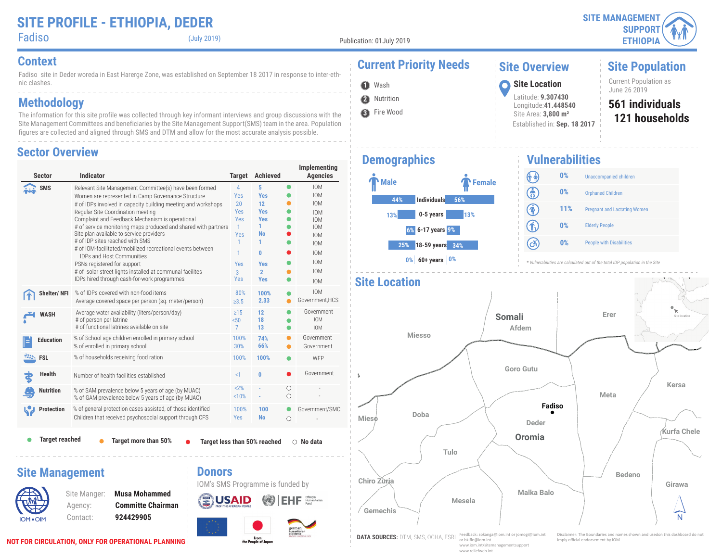$\bullet$  (July 2019)

**2** Nutrition **O** Wash

**3** Fire Wood

Fadiso site in Deder woreda in East Harerge Zone, was established on September 18 2017 in response to inter-ethnic clashes.

### **Methodology**

The information for this site profile was collected through key informant interviews and group discussions with the Site Management Committees and beneficiaries by the Site Management Support(SMS) team in the area. Population figures are collected and aligned through SMS and DTM and allow for the most accurate analysis possible.

#### **Sector Overview**

| Sector                 | Indicator                                                                                                                                                                                                                                                                                                                                                                                                                                                                                                                                                                                                                                                          | <b>Target</b>                                                                                               | <b>Achieved</b>                                                                                                                     |                 | Implementing<br><b>Agencies</b>                                                                                                                                      |
|------------------------|--------------------------------------------------------------------------------------------------------------------------------------------------------------------------------------------------------------------------------------------------------------------------------------------------------------------------------------------------------------------------------------------------------------------------------------------------------------------------------------------------------------------------------------------------------------------------------------------------------------------------------------------------------------------|-------------------------------------------------------------------------------------------------------------|-------------------------------------------------------------------------------------------------------------------------------------|-----------------|----------------------------------------------------------------------------------------------------------------------------------------------------------------------|
| <b>SMS</b>             | Relevant Site Management Committee(s) have been formed<br>Women are represented in Camp Governance Structure<br># of IDPs involved in capacity building meeting and workshops<br>Regular Site Coordination meeting<br>Complaint and Feedback Mechanism is operational<br># of service monitoring maps produced and shared with partners<br>Site plan available to service providers<br># of IDP sites reached with SMS<br># of IOM-facilitated/mobilized recreational events between<br><b>IDPs and Host Communities</b><br>PSNs registered for support<br># of solar street lights installed at communal facilites<br>IDPs hired through cash-for-work programmes | $\overline{4}$<br>Yes<br>20<br><b>Yes</b><br>Yes<br>$\mathbf{1}$<br>Yes<br>1<br>1<br>Yes<br>3<br><b>Yes</b> | 5<br><b>Yes</b><br>$12 \overline{ }$<br><b>Yes</b><br><b>Yes</b><br>1<br>No<br>1<br>0<br><b>Yes</b><br>$\overline{2}$<br><b>Yes</b> |                 | <b>IOM</b><br><b>IOM</b><br><b>IOM</b><br><b>IOM</b><br><b>IOM</b><br><b>IOM</b><br><b>IOM</b><br><b>IOM</b><br><b>IOM</b><br><b>IOM</b><br><b>IOM</b><br><b>IOM</b> |
| Shelter/NFI            | % of IDPs covered with non-food items<br>Average covered space per person (sq. meter/person)                                                                                                                                                                                                                                                                                                                                                                                                                                                                                                                                                                       | 80%<br>$\ge 3.5$                                                                                            | 100%<br>2.33                                                                                                                        |                 | <b>IOM</b><br>Government, HCS                                                                                                                                        |
| <b>WASH</b>            | Average water availability (liters/person/day)<br># of person per latrine<br># of functional latrines available on site                                                                                                                                                                                                                                                                                                                                                                                                                                                                                                                                            | $\geq$ 15<br>50 <sub>0</sub><br>$\overline{7}$                                                              | 12<br>18<br>13                                                                                                                      |                 | Government<br><b>IOM</b><br><b>IOM</b>                                                                                                                               |
| <b>Education</b>       | % of School age children enrolled in primary school<br>% of enrolled in primary school                                                                                                                                                                                                                                                                                                                                                                                                                                                                                                                                                                             | 100%<br>30%                                                                                                 | 74%<br>66%                                                                                                                          |                 | Government<br>Government                                                                                                                                             |
| <b>EXALL</b> FSL       | % of households receiving food ration                                                                                                                                                                                                                                                                                                                                                                                                                                                                                                                                                                                                                              | 100%                                                                                                        | 100%                                                                                                                                |                 | WFP                                                                                                                                                                  |
| <b>Health</b>          | Number of health facilities established                                                                                                                                                                                                                                                                                                                                                                                                                                                                                                                                                                                                                            | $\leq$ 1                                                                                                    | 0                                                                                                                                   |                 | Government                                                                                                                                                           |
| <b>Nutrition</b>       | % of SAM prevalence below 5 years of age (by MUAC)<br>% of GAM prevalence below 5 years of age (by MUAC)                                                                                                                                                                                                                                                                                                                                                                                                                                                                                                                                                           | 2%<br>10%                                                                                                   |                                                                                                                                     | О<br>$\bigcirc$ |                                                                                                                                                                      |
| <b>Protection</b>      | % of general protection cases assisted, of those identified<br>Children that received psychosocial support through CFS                                                                                                                                                                                                                                                                                                                                                                                                                                                                                                                                             | 100%<br>Yes                                                                                                 | 100<br><b>No</b>                                                                                                                    | $\circ$         | Government/SMC                                                                                                                                                       |
| <b>Target reached</b>  | Target more than 50%                                                                                                                                                                                                                                                                                                                                                                                                                                                                                                                                                                                                                                               |                                                                                                             | Target less than 50% reached                                                                                                        |                 | $\bigcirc$ No data                                                                                                                                                   |
| <b>Site Management</b> | <b>Donors</b>                                                                                                                                                                                                                                                                                                                                                                                                                                                                                                                                                                                                                                                      |                                                                                                             | IOM's SMS Programme is funded by                                                                                                    |                 |                                                                                                                                                                      |

 $\left(\frac{1}{2}\right)$ 

**USAID** 

From<br>the People of Japan

 $E$ **H** $F$   $F$   $F$ <sub>Fund</sub> Namiberian

# **Context Current Priority Needs**

### **Site Overview**

Latitude: **9.307430** Longitude:**41.448540** Site Area: **3,800 m²**

Established in: **Sep. 18 2017**

**Site Population**

Current Population as<br>June 26 2019 June 26 2019 **<sup>1</sup> Site Location**

#### **121 households 561 individuals**

### **Demographics**



**Vulnerabilities** (î î) **0%** Unaccompanied children ඹ **0%** Orphaned Children  $\circledast$ **11%** Pregnant and Lactating Women 介 **0%** Elderly People  $\left( c\right)$ **0%** People with Disabilities

*\* Vulnerabilities are calculated out of the total IDP population in the Site*



IOM OIM

Site Manger: **Musa Mohammed** Agency: **Committe Chairman** Contact: **924429905**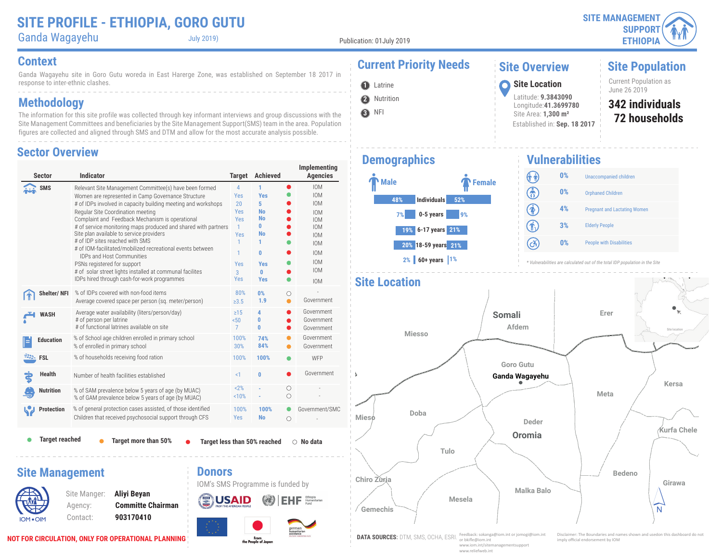**Site Population**

Current Population as<br>June 26 2019

**72 households 342 individuals**

Ganda Wagayehu July 2019)

Publication: 01July 2019

**2** Nutrition **O** Latrine

**3** NFI

j.

#### **Context Current Priority Needs**

Ganda Wagayehu site in Goro Gutu woreda in East Harerge Zone, was established on September 18 2017 in response to inter-ethnic clashes.

### **Methodology**

The information for this site profile was collected through key informant interviews and group discussions with the Site Management Committees and beneficiaries by the Site Management Support(SMS) team in the area. Population figures are collected and aligned through SMS and DTM and allow for the most accurate analysis possible.

#### **Sector Overview**

|           | <b>Sector</b>         | <b>Indicator</b>                                                                                                                                                                                                                                                                                                                                                                                                                                                                                                                                                                                                                                                   |                                                                                                                         |                                                   | <b>Target</b>                                                                                                                          | <b>Achieved</b>                                                                                             |                | Implementing<br><b>Agencies</b>                                                                                                                                      |
|-----------|-----------------------|--------------------------------------------------------------------------------------------------------------------------------------------------------------------------------------------------------------------------------------------------------------------------------------------------------------------------------------------------------------------------------------------------------------------------------------------------------------------------------------------------------------------------------------------------------------------------------------------------------------------------------------------------------------------|-------------------------------------------------------------------------------------------------------------------------|---------------------------------------------------|----------------------------------------------------------------------------------------------------------------------------------------|-------------------------------------------------------------------------------------------------------------|----------------|----------------------------------------------------------------------------------------------------------------------------------------------------------------------|
|           | <b>SMS</b>            | Relevant Site Management Committee(s) have been formed<br>Women are represented in Camp Governance Structure<br># of IDPs involved in capacity building meeting and workshops<br>Regular Site Coordination meeting<br>Complaint and Feedback Mechanism is operational<br># of service monitoring maps produced and shared with partners<br>Site plan available to service providers<br># of IDP sites reached with SMS<br># of IOM-facilitated/mobilized recreational events between<br><b>IDPs and Host Communities</b><br>PSNs registered for support<br># of solar street lights installed at communal facilites<br>IDPs hired through cash-for-work programmes |                                                                                                                         |                                                   | $\overline{4}$<br>Yes<br>20<br><b>Yes</b><br><b>Yes</b><br>$\mathbf{1}$<br><b>Yes</b><br>1<br>1<br>Yes<br>$\overline{3}$<br><b>Yes</b> | 1<br><b>Yes</b><br>5<br><b>No</b><br><b>No</b><br>0<br><b>No</b><br>1<br>0<br><b>Yes</b><br>0<br><b>Yes</b> | $\bullet$      | <b>IOM</b><br><b>IOM</b><br><b>IOM</b><br><b>IOM</b><br><b>IOM</b><br><b>IOM</b><br><b>IOM</b><br><b>IOM</b><br><b>IOM</b><br><b>IOM</b><br><b>IOM</b><br><b>IOM</b> |
|           | Shelter/NFI           |                                                                                                                                                                                                                                                                                                                                                                                                                                                                                                                                                                                                                                                                    | % of IDPs covered with non-food items<br>Average covered space per person (sq. meter/person)                            |                                                   | 80%<br>$\ge 3.5$                                                                                                                       | 0%<br>1.9                                                                                                   | О<br>$\bullet$ | Government                                                                                                                                                           |
|           | <b>WASH</b>           |                                                                                                                                                                                                                                                                                                                                                                                                                                                                                                                                                                                                                                                                    | Average water availability (liters/person/day)<br># of person per latrine<br># of functional latrines available on site |                                                   |                                                                                                                                        | 4<br>0<br>0                                                                                                 | O              | Government<br>Government<br>Government                                                                                                                               |
|           | <b>Education</b>      |                                                                                                                                                                                                                                                                                                                                                                                                                                                                                                                                                                                                                                                                    | % of School age children enrolled in primary school<br>% of enrolled in primary school                                  |                                                   |                                                                                                                                        | 74%<br>84%                                                                                                  |                | Government<br>Government                                                                                                                                             |
| -333-     | <b>FSL</b>            |                                                                                                                                                                                                                                                                                                                                                                                                                                                                                                                                                                                                                                                                    | % of households receiving food ration                                                                                   |                                                   |                                                                                                                                        |                                                                                                             |                | WFP                                                                                                                                                                  |
|           | <b>Health</b>         | Number of health facilities established                                                                                                                                                                                                                                                                                                                                                                                                                                                                                                                                                                                                                            | $\leq$ 1                                                                                                                | 0                                                 |                                                                                                                                        | Government                                                                                                  |                |                                                                                                                                                                      |
|           | <b>Nutrition</b>      |                                                                                                                                                                                                                                                                                                                                                                                                                                                                                                                                                                                                                                                                    | % of SAM prevalence below 5 years of age (by MUAC)<br>% of GAM prevalence below 5 years of age (by MUAC)                |                                                   |                                                                                                                                        |                                                                                                             | О<br>Ο         |                                                                                                                                                                      |
|           | <b>Protection</b>     |                                                                                                                                                                                                                                                                                                                                                                                                                                                                                                                                                                                                                                                                    | % of general protection cases assisted, of those identified<br>Children that received psychosocial support through CFS  |                                                   | 100%<br><b>Yes</b>                                                                                                                     | 100%<br><b>No</b>                                                                                           | $\bullet$<br>O | Government/SMC                                                                                                                                                       |
|           | <b>Target reached</b> |                                                                                                                                                                                                                                                                                                                                                                                                                                                                                                                                                                                                                                                                    | Target more than 50%                                                                                                    |                                                   |                                                                                                                                        | <b>Target less than 50% reached</b>                                                                         |                | $\bigcirc$ No data                                                                                                                                                   |
|           |                       | <b>Site Management</b><br>Site Manger:<br>Agency:                                                                                                                                                                                                                                                                                                                                                                                                                                                                                                                                                                                                                  | Aliyi Beyan<br><b>Committe Chairman</b>                                                                                 | <b>Donors</b><br>IOM's SMS Programme is funded by | FROM THE AMERICAN PEOPLE                                                                                                               |                                                                                                             |                | Humanitarian                                                                                                                                                         |
| IOM . OIM |                       | Contact:                                                                                                                                                                                                                                                                                                                                                                                                                                                                                                                                                                                                                                                           | 903170410                                                                                                               |                                                   |                                                                                                                                        |                                                                                                             |                |                                                                                                                                                                      |

From<br>the People of Japan

# **Demographics**



Established in: **Sep. 18 2017**

June 26 2019 **<sup>1</sup> Site Location**

**Site Overview**

Latitude: **9.3843090** Longitude:**41.3699780** Site Area: **1,300 m²**

#### **Vulnerabilities**



*\* Vulnerabilities are calculated out of the total IDP population in the Site*



or bkifle@iom.int www.iom.int/sitemanagementsupport www.reliefweb.int

imply official endorsement by IOM

**NOT FOR CIRCULATION, ONLY FOR OPERATIONAL PLANNING**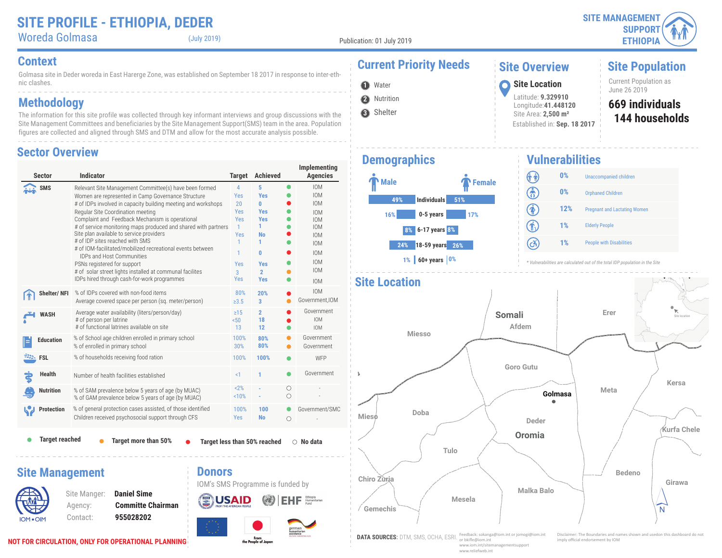| <b>SITE MANAGEMENT</b> |  |
|------------------------|--|
| SUPPORT(               |  |
| <b>ETHIOPIA</b>        |  |

**Site Population**

Current Population as<br>June 26 2019

**144 households 669 individuals**

Woreda Golmasa (July 2019)

Publication: 01 July 2019

**2** Nutrition **1** Water

**3** Shelter

Golmasa site in Deder woreda in East Harerge Zone, was established on September 18 2017 in response to inter-ethnic clashes. **Context Current Priority Needs**

### **Methodology**

The information for this site profile was collected through key informant interviews and group discussions with the Site Management Committees and beneficiaries by the Site Management Support(SMS) team in the area. Population figures are collected and aligned through SMS and DTM and allow for the most accurate analysis possible.

#### **Sector Overview**

| <b>Sector</b>                                   | <b>Indicator</b>                                                                                                                                                                                                                                                                                                                                                                                                                                                                                                                                                                                                                                                   | <b>Target</b>                                                                                        | <b>Achieved</b>                                                                                                            |           | Implementing<br><b>Agencies</b>                                                                                                                                      |
|-------------------------------------------------|--------------------------------------------------------------------------------------------------------------------------------------------------------------------------------------------------------------------------------------------------------------------------------------------------------------------------------------------------------------------------------------------------------------------------------------------------------------------------------------------------------------------------------------------------------------------------------------------------------------------------------------------------------------------|------------------------------------------------------------------------------------------------------|----------------------------------------------------------------------------------------------------------------------------|-----------|----------------------------------------------------------------------------------------------------------------------------------------------------------------------|
| SMS                                             | Relevant Site Management Committee(s) have been formed<br>Women are represented in Camp Governance Structure<br># of IDPs involved in capacity building meeting and workshops<br>Regular Site Coordination meeting<br>Complaint and Feedback Mechanism is operational<br># of service monitoring maps produced and shared with partners<br>Site plan available to service providers<br># of IDP sites reached with SMS<br># of IOM-facilitated/mobilized recreational events between<br><b>IDPs and Host Communities</b><br>PSNs registered for support<br># of solar street lights installed at communal facilites<br>IDPs hired through cash-for-work programmes | $\overline{4}$<br>Yes<br>20<br><b>Yes</b><br>Yes<br>$\mathbf{1}$<br>Yes<br>1<br>1<br>Yes<br>3<br>Yes | 5<br><b>Yes</b><br>O<br><b>Yes</b><br><b>Yes</b><br>1<br><b>No</b><br>1<br>0<br><b>Yes</b><br>$\overline{2}$<br><b>Yes</b> | $\bullet$ | <b>IOM</b><br><b>IOM</b><br><b>IOM</b><br><b>IOM</b><br><b>IOM</b><br><b>IOM</b><br><b>IOM</b><br><b>IOM</b><br><b>IOM</b><br><b>IOM</b><br><b>IOM</b><br><b>IOM</b> |
| Shelter/NFI                                     | % of IDPs covered with non-food items<br>Average covered space per person (sq. meter/person)                                                                                                                                                                                                                                                                                                                                                                                                                                                                                                                                                                       | 80%<br>$\geq 3.5$                                                                                    | 20%<br>3                                                                                                                   |           | <b>IOM</b><br>Government, IOM                                                                                                                                        |
| <b>WASH</b>                                     | Average water availability (liters/person/day)<br># of person per latrine<br># of functional latrines available on site                                                                                                                                                                                                                                                                                                                                                                                                                                                                                                                                            | $\geq$ 15<br>50 <sub>0</sub><br>13                                                                   | $\overline{2}$<br>18<br>12                                                                                                 |           | Government<br><b>IOM</b><br><b>IOM</b>                                                                                                                               |
| <b>Education</b>                                | % of School age children enrolled in primary school<br>% of enrolled in primary school                                                                                                                                                                                                                                                                                                                                                                                                                                                                                                                                                                             | 100%<br>30%                                                                                          | 80%<br>80%                                                                                                                 |           | Government<br>Government                                                                                                                                             |
| <b>EXAMPLE</b> FSL                              | % of households receiving food ration                                                                                                                                                                                                                                                                                                                                                                                                                                                                                                                                                                                                                              | 100%                                                                                                 | 100%                                                                                                                       |           | WFP                                                                                                                                                                  |
| Health                                          | Number of health facilities established                                                                                                                                                                                                                                                                                                                                                                                                                                                                                                                                                                                                                            | <1                                                                                                   | 1                                                                                                                          |           | Government                                                                                                                                                           |
| <b>Nutrition</b>                                | % of SAM prevalence below 5 years of age (by MUAC)<br>% of GAM prevalence below 5 years of age (by MUAC)                                                                                                                                                                                                                                                                                                                                                                                                                                                                                                                                                           | 2%<br>10%                                                                                            |                                                                                                                            | Ω<br>Ο    |                                                                                                                                                                      |
| <b>Protection</b>                               | % of general protection cases assisted, of those identified<br>Children received psychosocial support through CFS                                                                                                                                                                                                                                                                                                                                                                                                                                                                                                                                                  | 100%<br>Yes                                                                                          | 100<br><b>No</b>                                                                                                           | $\circ$   | Government/SMC                                                                                                                                                       |
| <b>Target reached</b><br><b>Site Management</b> | Target more than 50%<br><b>Donors</b>                                                                                                                                                                                                                                                                                                                                                                                                                                                                                                                                                                                                                              |                                                                                                      | Target less than 50% reached                                                                                               |           | $\bigcirc$ No data                                                                                                                                                   |
|                                                 | <b>Daniel Sime</b><br>Site Manger:<br><b>Committe Chairman</b><br>Agency:                                                                                                                                                                                                                                                                                                                                                                                                                                                                                                                                                                                          |                                                                                                      | IOM's SMS Programme is funded by                                                                                           |           | Ethiopia<br>Humanitarian                                                                                                                                             |

From<br>the People of Japan



# **Vulnerabilities**

June 26 2019 **<sup>1</sup> Site Location**

**Site Overview**

Latitude: **9.329910** Longitude:**41.448120** Site Area: **2,500 m²**

Established in: **Sep. 18 2017**

| ¢                                                    | $0\%$ | <b>Unaccompanied children</b>       |
|------------------------------------------------------|-------|-------------------------------------|
| (යි                                                  | $0\%$ | <b>Orphaned Children</b>            |
| $\left( \color{red} \clubsuit \color{black} \right)$ | 12%   | <b>Pregnant and Lactating Women</b> |
| $(\mathbf{f}_1)$                                     | 1%    | <b>Elderly People</b>               |
| (cš.                                                 | 1%    | <b>People with Disabilities</b>     |





www.iom.int/sitemanagementsupport www.reliefweb.int

**NOT FOR CIRCULATION, ONLY FOR OPERATIONAL PLANNING**

IOM OIM

✕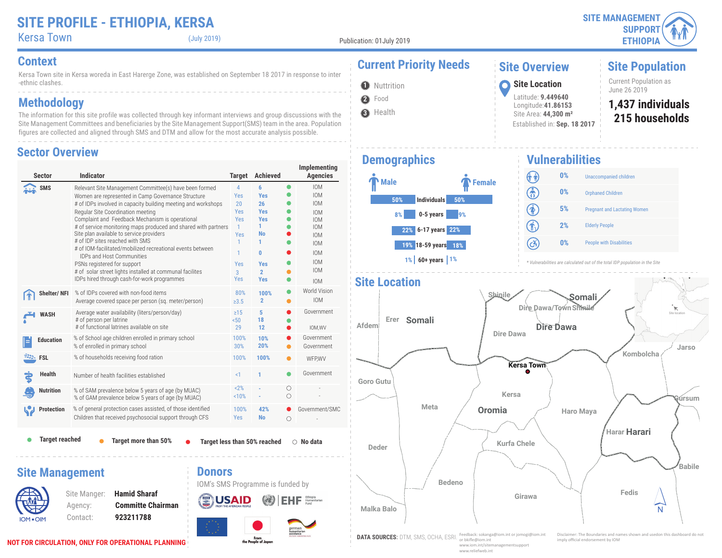### **SITE PROFILE - ETHIOPIA, KERSA**

| <b>SITE MANAGEMENT /</b> |  |
|--------------------------|--|
| SUPPORT $\gamma$         |  |
| <b>ETHIOPIA</b>          |  |

#### Kersa Town (July 2019)

Publication: 01July 2019

**2** Food **O** Nuttrition

**3** Health

**Demographics**

Kersa Town site in Kersa woreda in East Harerge Zone, was established on September 18 2017 in response to inter -ethnic clashes.

### **Methodology**

The information for this site profile was collected through key informant interviews and group discussions with the Site Management Committees and beneficiaries by the Site Management Support(SMS) team in the area. Population figures are collected and aligned through SMS and DTM and allow for the most accurate analysis possible.

#### **Sector Overview**

| <b>Sector</b>                             | <b>Indicator</b>                                                                                                                                                                                                                                                                                                                                                                                                                                                                                                                                                                                                                                                   | <b>Target</b>                                                                                         | <b>Achieved</b>                                                                                                             |           | Implementing<br><b>Agencies</b>                                                                                                                                      |
|-------------------------------------------|--------------------------------------------------------------------------------------------------------------------------------------------------------------------------------------------------------------------------------------------------------------------------------------------------------------------------------------------------------------------------------------------------------------------------------------------------------------------------------------------------------------------------------------------------------------------------------------------------------------------------------------------------------------------|-------------------------------------------------------------------------------------------------------|-----------------------------------------------------------------------------------------------------------------------------|-----------|----------------------------------------------------------------------------------------------------------------------------------------------------------------------|
| SMS                                       | Relevant Site Management Committee(s) have been formed<br>Women are represented in Camp Governance Structure<br># of IDPs involved in capacity building meeting and workshops<br>Regular Site Coordination meeting<br>Complaint and Feedback Mechanism is operational<br># of service monitoring maps produced and shared with partners<br>Site plan available to service providers<br># of IDP sites reached with SMS<br># of IOM-facilitated/mobilized recreational events between<br><b>IDPs and Host Communities</b><br>PSNs registered for support<br># of solar street lights installed at communal facilites<br>IDPs hired through cash-for-work programmes | 4<br>Yes<br>20<br>Yes<br><b>Yes</b><br>$\mathbf{1}$<br>Yes<br>1.<br>1<br>Yes<br>$\overline{3}$<br>Yes | 6<br><b>Yes</b><br>26<br><b>Yes</b><br><b>Yes</b><br>1<br><b>No</b><br>1<br>0<br><b>Yes</b><br>$\overline{2}$<br><b>Yes</b> | $\bullet$ | <b>IOM</b><br><b>IOM</b><br><b>IOM</b><br><b>IOM</b><br><b>IOM</b><br><b>IOM</b><br><b>IOM</b><br><b>IOM</b><br><b>IOM</b><br><b>IOM</b><br><b>IOM</b><br><b>IOM</b> |
| Shelter/NFI                               | % of IDPs covered with non-food items<br>Average covered space per person (sq. meter/person)                                                                                                                                                                                                                                                                                                                                                                                                                                                                                                                                                                       | 80%<br>$\geq 3.5$                                                                                     | 100%<br>$\overline{2}$                                                                                                      | ●         | World Vision<br><b>IOM</b>                                                                                                                                           |
| <b>WASH</b>                               | Average water availability (liters/person/day)<br># of person per latrine<br># of functional latrines available on site                                                                                                                                                                                                                                                                                                                                                                                                                                                                                                                                            | $\geq$ 15<br>50 <sub>0</sub><br>29                                                                    | 5<br>18<br>12                                                                                                               |           | Government<br>IOM, WV                                                                                                                                                |
| <b>Education</b>                          | % of School age children enrolled in primary school<br>% of enrolled in primary school                                                                                                                                                                                                                                                                                                                                                                                                                                                                                                                                                                             | 100%<br>30%                                                                                           | 10%<br>20%                                                                                                                  |           | Government<br>Government                                                                                                                                             |
| <b>EXALL</b> FSL                          | % of households receiving food ration                                                                                                                                                                                                                                                                                                                                                                                                                                                                                                                                                                                                                              | 100%                                                                                                  | 100%                                                                                                                        |           | WFP.WV                                                                                                                                                               |
| <b>Health</b>                             | Number of health facilities established                                                                                                                                                                                                                                                                                                                                                                                                                                                                                                                                                                                                                            | $\leq$ 1                                                                                              | 1                                                                                                                           |           | Government                                                                                                                                                           |
| <b>Nutrition</b>                          | % of SAM prevalence below 5 years of age (by MUAC)<br>% of GAM prevalence below 5 years of age (by MUAC)                                                                                                                                                                                                                                                                                                                                                                                                                                                                                                                                                           | 2%<br>10%                                                                                             |                                                                                                                             | O<br>Ο    |                                                                                                                                                                      |
| <b>Protection</b>                         | % of general protection cases assisted, of those identified<br>Children that received psychosocial support through CFS                                                                                                                                                                                                                                                                                                                                                                                                                                                                                                                                             | 100%<br><b>Yes</b>                                                                                    | 42%<br><b>No</b>                                                                                                            | Ω         | Government/SMC                                                                                                                                                       |
| <b>Target reached</b>                     | <b>Target more than 50%</b>                                                                                                                                                                                                                                                                                                                                                                                                                                                                                                                                                                                                                                        |                                                                                                       | Target less than 50% reached                                                                                                |           | $\bigcirc$ No data                                                                                                                                                   |
| <b>Site Management</b><br><b>IOM .OIM</b> | <b>Donors</b><br><b>Hamid Sharaf</b><br>Site Manger:<br><b>Committe Chairman</b><br>Agency:<br>923211788<br>Contact:                                                                                                                                                                                                                                                                                                                                                                                                                                                                                                                                               |                                                                                                       | IOM's SMS Programme is funded by                                                                                            |           | Humanitarian<br>german<br>humanitarian                                                                                                                               |

# **Context Current Priority Needs**

**Male Female** 

**50% Individuals 50% 8% 0-5 years 9% 6-17 years 22% 22% 19% 18-59 years 18% 1% 60+ years 1%**

### **Site Overview**

Latitude: **9.449640** Longitude:**41.86153**

## **Site Population**

Current Population as<br>June 26 2019 June 26 2019 **<sup>1</sup> Site Location**

- **215 households 1,437 individuals**
- Site Area: **44,300 m²** Established in: **Sep. 18 2017**

#### **Vulnerabilities**

| ---------- | --                                  |
|------------|-------------------------------------|
| 0%         | <b>Unaccompanied children</b>       |
| 0%         | <b>Orphaned Children</b>            |
| 5%         | <b>Pregnant and Lactating Women</b> |
| 2%         | <b>Elderly People</b>               |
| $0\%$      | <b>People with Disabilities</b>     |
|            |                                     |

*\* Vulnerabilities are calculated out of the total IDP population in the Site*



or bkifle@iom.int www.iom.int/sitemanagementsupport www.reliefweb.int

imply official endorsement by IOM

**NOT FOR CIRCULATION, ONLY FOR OPERATIONAL PLANNING**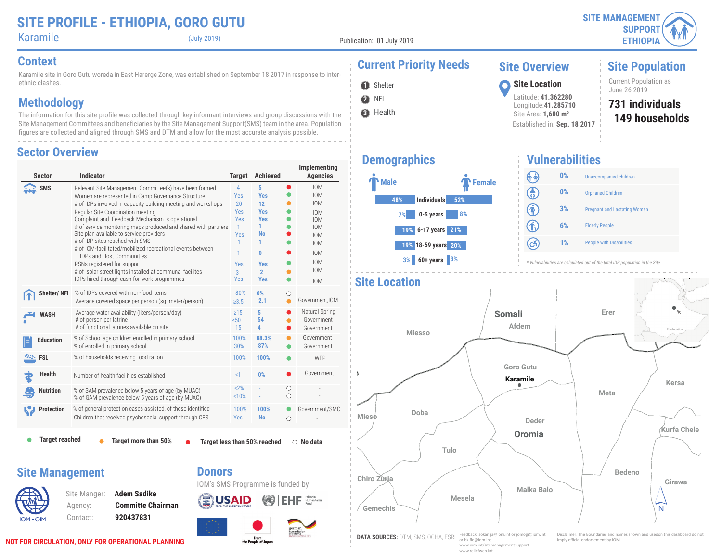**Site Population**

Current Population as<br>June 26 2019

**149 households 731 individuals**

Karamile (July 2019)

Publication: 01 July 2019

**2** NFI **O** Shelter

Karamile site in Goro Gutu woreda in East Harerge Zone, was established on September 18 2017 in response to interethnic clashes. **Context Current Priority Needs**

### **Methodology**

The information for this site profile was collected through key informant interviews and group discussions with the Site Management Committees and beneficiaries by the Site Management Support(SMS) team in the area. Population figures are collected and aligned through SMS and DTM and allow for the most accurate analysis possible.

#### **Sector Overview**

| <b>Sector</b>          | <b>Indicator</b>                                                                                                                                                                                                                                                                                                                                                                                                                                                                                                                                                                                                                                                   | <b>Target</b>                                                                                               | <b>Achieved</b>                                                                                                                        |                 | Implementing<br><b>Agencies</b>                                                                                                                                      |
|------------------------|--------------------------------------------------------------------------------------------------------------------------------------------------------------------------------------------------------------------------------------------------------------------------------------------------------------------------------------------------------------------------------------------------------------------------------------------------------------------------------------------------------------------------------------------------------------------------------------------------------------------------------------------------------------------|-------------------------------------------------------------------------------------------------------------|----------------------------------------------------------------------------------------------------------------------------------------|-----------------|----------------------------------------------------------------------------------------------------------------------------------------------------------------------|
| <b>SMS</b>             | Relevant Site Management Committee(s) have been formed<br>Women are represented in Camp Governance Structure<br># of IDPs involved in capacity building meeting and workshops<br>Regular Site Coordination meeting<br>Complaint and Feedback Mechanism is operational<br># of service monitoring maps produced and shared with partners<br>Site plan available to service providers<br># of IDP sites reached with SMS<br># of IOM-facilitated/mobilized recreational events between<br><b>IDPs and Host Communities</b><br>PSNs registered for support<br># of solar street lights installed at communal facilites<br>IDPs hired through cash-for-work programmes | 4<br>Yes<br>20<br>Yes<br><b>Yes</b><br>$\mathbf{1}$<br>Yes<br>1<br>1<br>Yes<br>$\overline{3}$<br><b>Yes</b> | 5<br><b>Yes</b><br>12<br><b>Yes</b><br><b>Yes</b><br>1<br><b>No</b><br>1<br>$\mathbf{0}$<br><b>Yes</b><br>$\overline{2}$<br><b>Yes</b> | $\bullet$       | <b>IOM</b><br><b>IOM</b><br><b>IOM</b><br><b>IOM</b><br><b>IOM</b><br><b>IOM</b><br><b>IOM</b><br><b>IOM</b><br><b>IOM</b><br><b>IOM</b><br><b>IOM</b><br><b>IOM</b> |
| Shelter/NFI            | % of IDPs covered with non-food items<br>Average covered space per person (sq. meter/person)                                                                                                                                                                                                                                                                                                                                                                                                                                                                                                                                                                       | 80%<br>$\geq 3.5$                                                                                           | 0%<br>2.1                                                                                                                              | O<br>$\bullet$  | Government, IOM                                                                                                                                                      |
| <b>WASH</b>            | Average water availability (liters/person/day)<br># of person per latrine<br># of functional latrines available on site                                                                                                                                                                                                                                                                                                                                                                                                                                                                                                                                            | $\geq$ 15<br>50 <sub>0</sub><br>15                                                                          | 5<br>54<br>4                                                                                                                           | $\bullet$       | Natural Spring<br>Government<br>Government                                                                                                                           |
| <b>Education</b>       | % of School age children enrolled in primary school<br>% of enrolled in primary school                                                                                                                                                                                                                                                                                                                                                                                                                                                                                                                                                                             | 100%<br>30%                                                                                                 | 88.3%<br>87%                                                                                                                           |                 | Government<br>Government                                                                                                                                             |
| <b>EXALL</b> FSL       | % of households receiving food ration                                                                                                                                                                                                                                                                                                                                                                                                                                                                                                                                                                                                                              | 100%                                                                                                        | 100%                                                                                                                                   |                 | WFP                                                                                                                                                                  |
| <b>Health</b>          | Number of health facilities established                                                                                                                                                                                                                                                                                                                                                                                                                                                                                                                                                                                                                            | <1                                                                                                          | 0%                                                                                                                                     |                 | Government                                                                                                                                                           |
| <b>Nutrition</b>       | % of SAM prevalence below 5 years of age (by MUAC)<br>% of GAM prevalence below 5 years of age (by MUAC)                                                                                                                                                                                                                                                                                                                                                                                                                                                                                                                                                           | 2%<br>10%                                                                                                   |                                                                                                                                        | О<br>$\bigcirc$ |                                                                                                                                                                      |
| <b>Protection</b>      | % of general protection cases assisted, of those identified<br>Children that received psychosocial support through CFS                                                                                                                                                                                                                                                                                                                                                                                                                                                                                                                                             | 100%<br>Yes                                                                                                 | 100%<br><b>No</b>                                                                                                                      | O               | Government/SMC                                                                                                                                                       |
| <b>Target reached</b>  | Target more than 50%                                                                                                                                                                                                                                                                                                                                                                                                                                                                                                                                                                                                                                               |                                                                                                             | Target less than 50% reached                                                                                                           |                 | $\bigcirc$ No data                                                                                                                                                   |
| <b>Site Management</b> | <b>Donors</b>                                                                                                                                                                                                                                                                                                                                                                                                                                                                                                                                                                                                                                                      |                                                                                                             | IOM's SMS Programme is funded by                                                                                                       |                 |                                                                                                                                                                      |
|                        | <b>Adem Sadike</b><br>Site Manger:<br><b>Committe Chairman</b><br>Agency:                                                                                                                                                                                                                                                                                                                                                                                                                                                                                                                                                                                          |                                                                                                             |                                                                                                                                        |                 | Humanitarian                                                                                                                                                         |

From<br>the People of Japan

# **3** Health

## **Demographics**



**Vulnerabilities**

**1** Shelter **1999** Site Location **1999** Site Location **1999** June 26 2019

**Site Overview**

Latitude: **41.362280** Longitude:**41.285710** Site Area: **1,600 m²**

Established in: **Sep. 18 2017**



*\* Vulnerabilities are calculated out of the total IDP population in the Site*



www.iom.int/sitemanagementsupport www.reliefweb.int

IOM OIM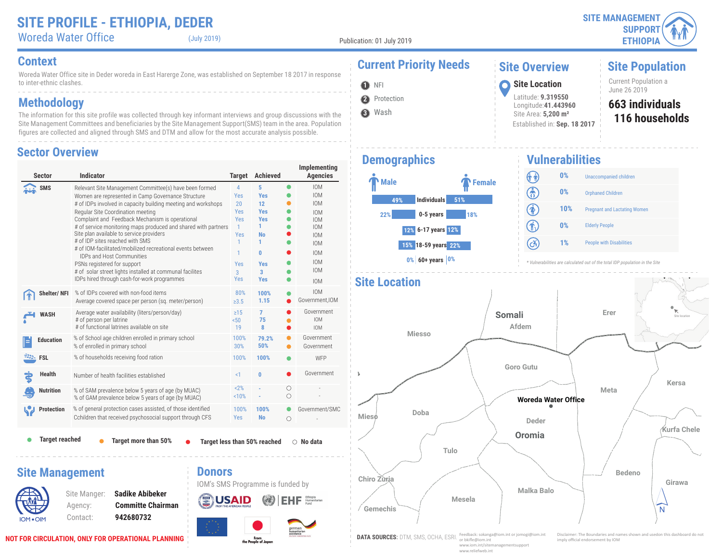Woreda Water Office (July 2019)

Publication: 01 July 2019

**O** NFI

**3** Wash

**2** Protection

Woreda Water Office site in Deder woreda in East Harerge Zone, was established on September 18 2017 in response to inter-ethnic clashes.

### **Methodology**

The information for this site profile was collected through key informant interviews and group discussions with the Site Management Committees and beneficiaries by the Site Management Support(SMS) team in the area. Population figures are collected and aligned through SMS and DTM and allow for the most accurate analysis possible.

#### **Sector Overview**

| <b>Sector</b>          | <b>Indicator</b>                                                                                                                                                                                                                                                                                                                                                                                                                                                                                                                                                                                                                                                   | <b>Target</b>                                                                                                   | <b>Achieved</b>                                                                                                 |           | Implementing<br><b>Agencies</b>                                                                                                                                      |
|------------------------|--------------------------------------------------------------------------------------------------------------------------------------------------------------------------------------------------------------------------------------------------------------------------------------------------------------------------------------------------------------------------------------------------------------------------------------------------------------------------------------------------------------------------------------------------------------------------------------------------------------------------------------------------------------------|-----------------------------------------------------------------------------------------------------------------|-----------------------------------------------------------------------------------------------------------------|-----------|----------------------------------------------------------------------------------------------------------------------------------------------------------------------|
| SMS                    | Relevant Site Management Committee(s) have been formed<br>Women are represented in Camp Governance Structure<br># of IDPs involved in capacity building meeting and workshops<br>Regular Site Coordination meeting<br>Complaint and Feedback Mechanism is operational<br># of service monitoring maps produced and shared with partners<br>Site plan available to service providers<br># of IDP sites reached with SMS<br># of IOM-facilitated/mobilized recreational events between<br><b>IDPs and Host Communities</b><br>PSNs registered for support<br># of solar street lights installed at communal facilites<br>IDPs hired through cash-for-work programmes | $\overline{4}$<br>Yes<br>20<br>Yes<br>Yes<br>$\mathbf{1}$<br>Yes<br>$\mathbf{1}$<br>1<br>Yes<br>3<br><b>Yes</b> | 5<br><b>Yes</b><br>12<br><b>Yes</b><br><b>Yes</b><br>1.<br><b>No</b><br>1<br>0<br><b>Yes</b><br>3<br><b>Yes</b> | $\bullet$ | <b>IOM</b><br><b>IOM</b><br><b>IOM</b><br><b>IOM</b><br><b>IOM</b><br><b>IOM</b><br><b>IOM</b><br><b>IOM</b><br><b>IOM</b><br><b>IOM</b><br><b>IOM</b><br><b>IOM</b> |
| Shelter/NFI            | % of IDPs covered with non-food items<br>Average covered space per person (sq. meter/person)                                                                                                                                                                                                                                                                                                                                                                                                                                                                                                                                                                       | 80%<br>$\ge 3.5$                                                                                                | 100%<br>1.15                                                                                                    |           | <b>IOM</b><br>Government.IOM                                                                                                                                         |
| <b>WASH</b>            | Average water availability (liters/person/day)<br># of person per latrine<br># of functional latrines available on site                                                                                                                                                                                                                                                                                                                                                                                                                                                                                                                                            | $\geq 15$<br>50 <sub>0</sub><br>19                                                                              | $\overline{7}$<br>75<br>8                                                                                       |           | Government<br><b>IOM</b><br><b>IOM</b>                                                                                                                               |
| <b>Education</b>       | % of School age children enrolled in primary school<br>% of enrolled in primary school                                                                                                                                                                                                                                                                                                                                                                                                                                                                                                                                                                             | 100%<br>30%                                                                                                     | 79.2%<br>50%                                                                                                    |           | Government<br>Government                                                                                                                                             |
| <b>FSL</b>             | % of households receiving food ration                                                                                                                                                                                                                                                                                                                                                                                                                                                                                                                                                                                                                              | 100%                                                                                                            | 100%                                                                                                            |           | WFP                                                                                                                                                                  |
| <b>Health</b>          | Number of health facilities established                                                                                                                                                                                                                                                                                                                                                                                                                                                                                                                                                                                                                            | <1                                                                                                              | $\bf{0}$                                                                                                        |           | Government                                                                                                                                                           |
| Nutrition              | % of SAM prevalence below 5 years of age (by MUAC)<br>% of GAM prevalence below 5 years of age (by MUAC)                                                                                                                                                                                                                                                                                                                                                                                                                                                                                                                                                           | 2%<br>10%                                                                                                       |                                                                                                                 | О<br>∩    |                                                                                                                                                                      |
| <b>Protection</b>      | % of general protection cases assisted, of those identified<br>Cchildren that received psychosocial support through CFS                                                                                                                                                                                                                                                                                                                                                                                                                                                                                                                                            | 100%<br>Yes                                                                                                     | 100%<br><b>No</b>                                                                                               | О         | Government/SMC                                                                                                                                                       |
| <b>Target reached</b>  | Target more than 50%                                                                                                                                                                                                                                                                                                                                                                                                                                                                                                                                                                                                                                               |                                                                                                                 | Target less than 50% reached                                                                                    |           | $\circ$ No data                                                                                                                                                      |
| <b>Site Management</b> | <b>Donors</b><br><b>Sadike Abibeker</b><br>Site Manger:<br><b>Committe Chairman</b><br>Agency:                                                                                                                                                                                                                                                                                                                                                                                                                                                                                                                                                                     |                                                                                                                 | IOM's SMS Programme is funded by                                                                                |           |                                                                                                                                                                      |

# **Context Current Priority Needs**

#### **Site Overview**

Latitude: **9.319550** Longitude:**41.443960** Site Area: **5,200 m²**

Established in: **Sep. 18 2017**

**Site Population**

Current Population a<br>June 26 2019 June 26 2019 **<sup>1</sup> Site Location**

#### **116 households 663 individuals**

### **Demographics**



**Vulnerabilities** (î î) **0%** Unaccompanied children ඹ **0%** Orphaned Children  $\circledast$ **10%** Pregnant and Lactating Women  $\textcircled{\textbf{f}}$ **0%** Elderly People  $\left( c\right)$ **1%** People with Disabilities





**NOT FOR CIRCULATION, ONLY FOR OPERATIONAL PLANNING**

IOM OIM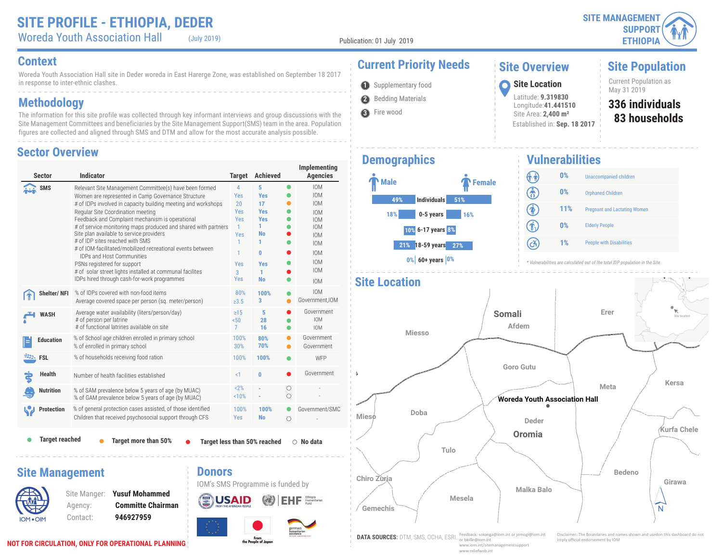Woreda Youth Association Hall (July 2019)

Publication: 01 July 2019

**Site Population**

Current Population as<br>May 31 2019

**83 households 336 individuals**

#### **Context Current Priority Needs**

Woreda Youth Association Hall site in Deder woreda in East Harerge Zone, was established on September 18 2017 in response to inter-ethnic clashes.

### **Methodology**

The information for this site profile was collected through key informant interviews and group discussions with the Site Management Committees and beneficiaries by the Site Management Support(SMS) team in the area. Population figures are collected and aligned through SMS and DTM and allow for the most accurate analysis possible.

#### **Sector Overview**

| <b>Sector</b>                                   | <b>Indicator</b>                                                                                                                                                                                                                                                                                                                                                                                                                                                                                                                                                                                                                                                   | <b>Target</b>                                                                                 | <b>Achieved</b>                                                                                                          |                 | Implementing<br><b>Agencies</b>                                                                                                                                      |
|-------------------------------------------------|--------------------------------------------------------------------------------------------------------------------------------------------------------------------------------------------------------------------------------------------------------------------------------------------------------------------------------------------------------------------------------------------------------------------------------------------------------------------------------------------------------------------------------------------------------------------------------------------------------------------------------------------------------------------|-----------------------------------------------------------------------------------------------|--------------------------------------------------------------------------------------------------------------------------|-----------------|----------------------------------------------------------------------------------------------------------------------------------------------------------------------|
| <b>SMS</b>                                      | Relevant Site Management Committee(s) have been formed<br>Women are represented in Camp Governance Structure<br># of IDPs involved in capacity building meeting and workshops<br>Regular Site Coordination meeting<br>Feedback and Complaint mechanism is operational<br># of service monitoring maps produced and shared with partners<br>Site plan available to service providers<br># of IDP sites reached with SMS<br># of IOM-facilitated/mobilized recreational events between<br><b>IDPs and Host Communities</b><br>PSNs registered for support<br># of solar street lights installed at communal facilites<br>IDPs hired through cash-for-work programmes | 4<br>Yes<br>20<br>Yes<br>Yes<br>$\mathbf{1}$<br>Yes<br>1<br>1<br>Yes<br>$\overline{3}$<br>Yes | 5<br><b>Yes</b><br>17<br><b>Yes</b><br><b>Yes</b><br>1<br><b>No</b><br>1<br>$\mathbf{0}$<br><b>Yes</b><br>1<br><b>No</b> | $\bullet$       | <b>IOM</b><br><b>IOM</b><br><b>IOM</b><br><b>IOM</b><br><b>IOM</b><br><b>IOM</b><br><b>IOM</b><br><b>IOM</b><br><b>IOM</b><br><b>IOM</b><br><b>IOM</b><br><b>IOM</b> |
| Shelter/NFI                                     | % of IDPs covered with non-food items<br>Average covered space per person (sq. meter/person)                                                                                                                                                                                                                                                                                                                                                                                                                                                                                                                                                                       | 80%<br>$\geq 3.5$                                                                             | 100%<br>3                                                                                                                |                 | <b>IOM</b><br>Government, IOM                                                                                                                                        |
| <b>WASH</b>                                     | Average water availability (liters/person/day)<br># of person per latrine<br># of functional latrines available on site                                                                                                                                                                                                                                                                                                                                                                                                                                                                                                                                            | $\geq$ 15<br>50 <sub>0</sub><br>$\overline{7}$                                                | 5<br>28<br>16                                                                                                            |                 | Government<br><b>IOM</b><br><b>IOM</b>                                                                                                                               |
| <b>Education</b>                                | % of School age children enrolled in primary school<br>% of enrolled in primary school                                                                                                                                                                                                                                                                                                                                                                                                                                                                                                                                                                             | 100%<br>30%                                                                                   | 80%<br>70%                                                                                                               |                 | Government<br>Government                                                                                                                                             |
| <b>EXALL</b> FSL                                | % of households receiving food ration                                                                                                                                                                                                                                                                                                                                                                                                                                                                                                                                                                                                                              | 100%                                                                                          | 100%                                                                                                                     |                 | WFP                                                                                                                                                                  |
| <b>Health</b>                                   | Number of health facilities established                                                                                                                                                                                                                                                                                                                                                                                                                                                                                                                                                                                                                            | <1                                                                                            | $\bf{0}$                                                                                                                 |                 | Government                                                                                                                                                           |
| <b>Nutrition</b>                                | % of SAM prevalence below 5 years of age (by MUAC)<br>% of GAM prevalence below 5 years of age (by MUAC)                                                                                                                                                                                                                                                                                                                                                                                                                                                                                                                                                           | 2%<br>10%                                                                                     |                                                                                                                          | О<br>$\bigcirc$ |                                                                                                                                                                      |
| <b>Protection</b>                               | % of general protection cases assisted, of those identified<br>Children that received psychosocial support through CFS                                                                                                                                                                                                                                                                                                                                                                                                                                                                                                                                             | 100%<br><b>Yes</b>                                                                            | 100%<br><b>No</b>                                                                                                        | O               | Government/SMC                                                                                                                                                       |
| <b>Target reached</b><br><b>Site Management</b> | Target more than 50%<br><b>Donors</b>                                                                                                                                                                                                                                                                                                                                                                                                                                                                                                                                                                                                                              |                                                                                               | Target less than 50% reached                                                                                             |                 | $\bigcirc$ No data                                                                                                                                                   |
|                                                 | <b>Yusuf Mohammed</b><br>Site Manger:<br><b>Committe Chairman</b><br>Agency:                                                                                                                                                                                                                                                                                                                                                                                                                                                                                                                                                                                       |                                                                                               | IOM's SMS Programme is funded by                                                                                         |                 | Humanitarian                                                                                                                                                         |

From<br>the People of Japan

#### **1** Supplementary food **1999 Site Location**<br>May 31 2019 **2** Bedding Materials

**3** Fire wood

### **Demographics**



#### **Vulnerabilities** (î î) **0%** Unaccompanied children ඹ **0%** Orphaned Children  $\circledast$ **11%** Pregnant and Lactating Women 介 **0%** Elderly People  $\left( c\right)$ **1%** People with Disabilities

*\* Vulnerabilities are calculated out of the total IDP population in the Site*



**Site Overview**

**Site Location** Latitude: **9.319830** Longitude:**41.441510** Site Area: **2,400 m²**

Established in: **Sep. 18 2017**

IOM OIM